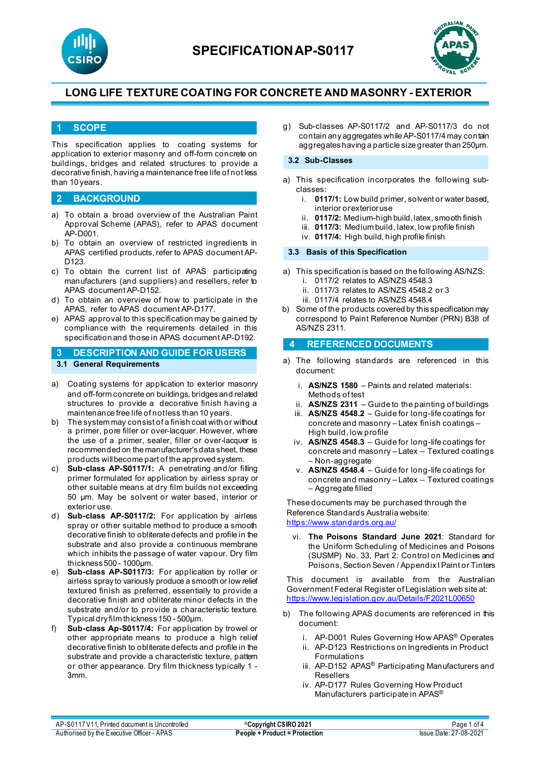



### **1 SCOPE**

This specification applies to coating systems for application to exterior masonry and off-form concrete on buildings, bridges and related structures to provide a decorative finish, having a maintenance free life of not less than 10 years.

### **2 BACKGROUND**

- a) To obtain a broad overview of the Australian Paint Approval Scheme (APAS), refer to APAS document AP-D001.
- b) To obtain an overview of restricted ingredients in APAS certified products, refer to APAS document AP-D<sub>123</sub>
- c) To obtain the current list of APAS participating manufacturers (and suppliers) and resellers, refer to APAS document AP-D152.
- d) To obtain an overview of how to participate in the APAS, refer to APAS document AP-D177.
- e) APAS approval to this specification may be gained by compliance with the requirements detailed in this specification and those in APAS document AP-D192.
- **3 DESCRIPTION AND GUIDE FOR USERS 3.1 General Requirements**
- a) Coating systems for application to exterior masonry and off-form concrete on buildings, bridges and related structures to provide a decorative finish having a maintenance free life of not less than 10 years.
- b) The system may consist of a finish coat with or without a primer, pore filler or over-lacquer. However, where the use of a primer, sealer, filler or over-lacquer is recommended on the manufacturer's data sheet, these products will become part of the approved system.
- c) **Sub-class AP-S0117/1:** A penetrating and/or filling primer formulated for application by airless spray or other suitable means at dry film builds not exceeding 50 µm. May be solvent or water based, interior or exterior use.
- d) **Sub-class AP-S0117/2:** For application by airless spray or other suitable method to produce a smooth decorative finish to obliterate defects and profile in the substrate and also provide a continuous membrane which inhibits the passage of water vapour. Dry film thickness 500 - 1000µm.
- e) **Sub-class AP-S0117/3:** For application by roller or airless spray to variously produce a smooth or low relief textured finish as preferred, essentially to provide a decorative finish and obliterate minor defects in the substrate and/or to provide a characteristic texture. Typical dry film thickness 150 - 500µm.
- Sub-class Ap-S0117/4: For application by trowel or other appropriate means to produce a high relief decorative finish to obliterate defects and profile in the substrate and provide a characteristic texture, pattern or other appearance. Dry film thickness typically 1 - 3mm.

g) Sub-classes AP-S0117/2 and AP-S0117/3 do not contain any aggregates while AP-S0117/4 may contain aggregates having a particle size greater than 250µm.

#### **3.2 Sub-Classes**

- a) This specification incorporates the following subclasses:
	- i. **0117/1:** Low build primer, solvent or water based, interior or exterior use
	- ii. **0117/2:** Medium-high build, latex, smooth finish
	- iii. **0117/3:** Medium build, latex, low profile finish
	- iv. **0117/4:** High build, high profile finish

#### **3.3 Basis of this Specification**

- a) This specification is based on the following AS/NZS: i. 0117/2 relates to AS/NZS 4548.3
	- ii. 0117/3 relates to AS/NZS 4548.2 or 3
	- iii. 0117/4 relates to AS/NZS 4548.4
- b) Some of the products covered by this specification may correspond to Paint Reference Number (PRN) B38 of AS/NZS 2311.

#### **4 REFERENCED DOCUMENTS**

- a) The following standards are referenced in this document:
	- i. **AS/NZS 1580** Paints and related materials: Methods of test
	- ii. **AS/NZS 2311**  Guide to the painting of buildings
	- iii. **AS/NZS 4548.2** [Guide](https://www.saiglobal.com/online/Script/Details.asp?DocN=AS0733764320AT) for long-life coatings for concrete and masonry – Latex finish coatings – High build, low profile
	- iv. **AS/NZS 4548.3** [Guide](https://www.saiglobal.com/online/Script/Details.asp?DocN=AS0733764320AT) for long-life coatings for concrete and masonry – Latex – Textured coatings – Non-aggregate
	- v. **AS/NZS 4548.4**  [Guide](https://www.saiglobal.com/online/Script/Details.asp?DocN=AS0733764320AT) for long-life coatings for concrete and masonry – Latex – Textured coatings – Aggregate filled

These documents may be purchased through the Reference Standards Australia website: <https://www.standards.org.au/>

vi. **The Poisons Standard June 2021**: Standard for the Uniform Scheduling of Medicines and Poisons (SUSMP) No. 33, Part 2: Control on Medicines and Poisons, Section Seven / Appendix I Paint or Tinters

This document is available from the Australian Government Federal Register of Legislation web site at: <https://www.legislation.gov.au/Details/F2021L00650>

- The following APAS documents are referenced in this document:
	- i. AP-D001 Rules Governing How APAS® Operates
	- ii. AP-D123 Restrictions on Ingredients in Product Formulations
	- iii. AP-D152 APAS<sup>®</sup> Participating Manufacturers and Resellers
	- iv. AP-D177 Rules Governing How Product Manufacturers participate in APAS®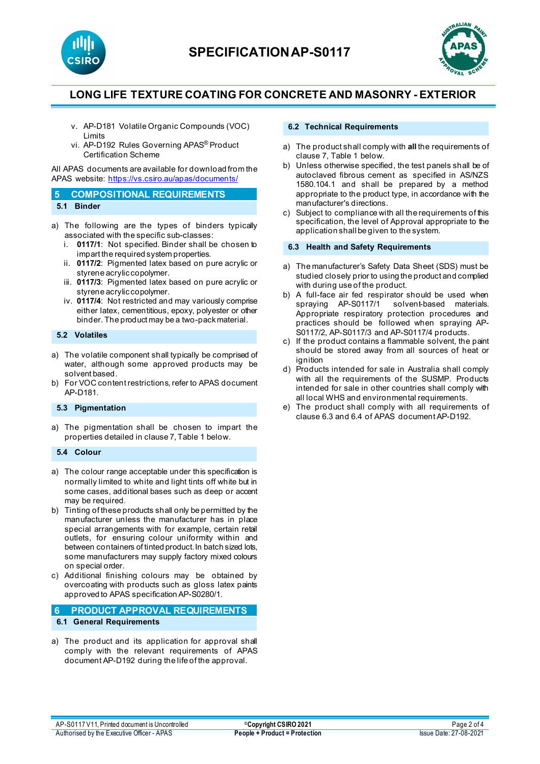



- v. AP-D181 Volatile Organic Compounds (VOC) Limits
- vi. AP-D192 Rules Governing APAS® Product Certification Scheme

All APAS documents are available for download from the APAS website: <https://vs.csiro.au/apas/documents/>

| 5 COMPOSITIONAL REQUIREMENTS |
|------------------------------|
| 5.1 Binder                   |

- a) The following are the types of binders typically associated with the specific sub-classes:
	- i. **0117/1**: Not specified. Binder shall be chosen to impart the required system properties.
	- ii. **0117/2**: Pigmented latex based on pure acrylic or styrene acrylic copolymer.
	- iii. **0117/3**: Pigmented latex based on pure acrylic or styrene acrylic copolymer.
	- iv. **0117/4**: Not restricted and may variously comprise either latex, cementitious, epoxy, polyester or other binder. The product may be a two-pack material.

#### **5.2 Volatiles**

- a) The volatile component shall typically be comprised of water, although some approved products may be solvent based.
- b) For VOC content restrictions, refer to APAS document AP-D181.

### **5.3 Pigmentation**

a) The pigmentation shall be chosen to impart the properties detailed in clause 7, Table 1 below.

#### **5.4 Colour**

- a) The colour range acceptable under this specification is normally limited to white and light tints off white but in some cases, additional bases such as deep or accent may be required.
- b) Tinting of these products shall only be permitted by the manufacturer unless the manufacturer has in place special arrangements with for example, certain retail outlets, for ensuring colour uniformity within and between containers of tinted product. In batch sized lots, some manufacturers may supply factory mixed colours on special order.
- c) Additional finishing colours may be obtained by overcoating with products such as gloss latex paints approved to APAS specification AP-S0280/1.

### **6 PRODUCT APPROVAL REQUIREMENTS**

- **6.1 General Requirements**
- a) The product and its application for approval shall comply with the relevant requirements of APAS document AP-D192 during the life of the approval.

#### **6.2 Technical Requirements**

- a) The product shall comply with **all** the requirements of clause 7, Table 1 below.
- b) Unless otherwise specified, the test panels shall be of autoclaved fibrous cement as specified in AS/NZS 1580.104.1 and shall be prepared by a method appropriate to the product type, in accordance with the manufacturer's directions.
- c) Subject to compliance with all the requirements of this specification, the level of Approval appropriate to the application shall be given to the system.

### **6.3 Health and Safety Requirements**

- a) The manufacturer's Safety Data Sheet (SDS) must be studied closely prior to using the product and complied with during use of the product.
- b) A full-face air fed respirator should be used when spraying AP-S0117/1 solvent-based materials. Appropriate respiratory protection procedures and practices should be followed when spraying AP-S0117/2, AP-S0117/3 and AP-S0117/4 products.
- c) If the product contains a flammable solvent, the paint should be stored away from all sources of heat or ignition
- d) Products intended for sale in Australia shall comply with all the requirements of the SUSMP. Products intended for sale in other countries shall comply with all local WHS and environmental requirements.
- The product shall comply with all requirements of clause 6.3 and 6.4 of APAS document AP-D192.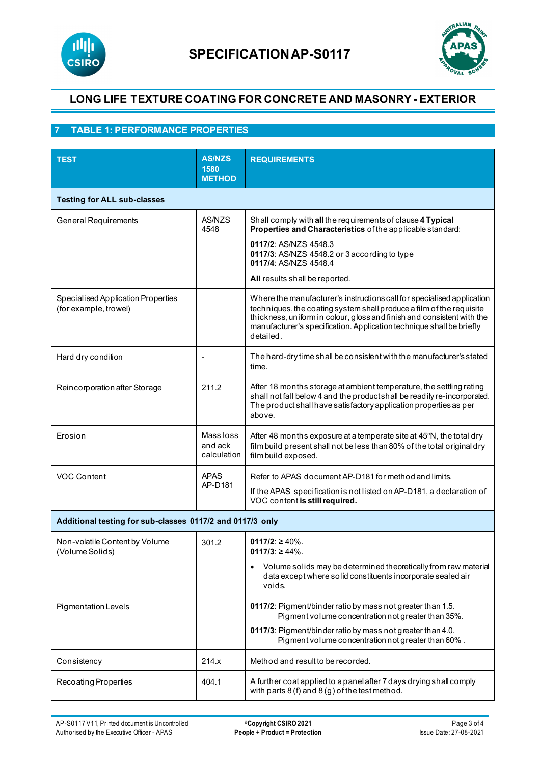



## **7 TABLE 1: PERFORMANCE PROPERTIES**

| <b>TEST</b>                                                 | <b>AS/NZS</b><br>1580<br><b>METHOD</b> | <b>REQUIREMENTS</b>                                                                                                                                                                                                                                                                                           |  |  |  |
|-------------------------------------------------------------|----------------------------------------|---------------------------------------------------------------------------------------------------------------------------------------------------------------------------------------------------------------------------------------------------------------------------------------------------------------|--|--|--|
| <b>Testing for ALL sub-classes</b>                          |                                        |                                                                                                                                                                                                                                                                                                               |  |  |  |
| <b>General Requirements</b>                                 | AS/NZS<br>4548                         | Shall comply with all the requirements of clause 4 Typical<br>Properties and Characteristics of the applicable standard:                                                                                                                                                                                      |  |  |  |
|                                                             |                                        | 0117/2: AS/NZS 4548.3<br>0117/3: AS/NZS 4548.2 or 3 according to type<br>0117/4: AS/N7S 4548 4                                                                                                                                                                                                                |  |  |  |
|                                                             |                                        | All results shall be reported.                                                                                                                                                                                                                                                                                |  |  |  |
| Specialised Application Properties<br>(for example, trowel) |                                        | Where the manufacturer's instructions call for specialised application<br>techniques, the coating system shall produce a film of the requisite<br>thickness, uniform in colour, gloss and finish and consistent with the<br>manufacturer's specification. Application technique shall be briefly<br>detailed. |  |  |  |
| Hard dry condition                                          |                                        | The hard-dry time shall be consistent with the manufacturer's stated<br>time.                                                                                                                                                                                                                                 |  |  |  |
| Reincorporation after Storage                               | 211.2                                  | After 18 months storage at ambient temperature, the settling rating<br>shall not fall below 4 and the productshall be readily re-incorporated.<br>The product shall have satisfactory application properties as per<br>above.                                                                                 |  |  |  |
| Erosion                                                     | Mass loss<br>and ack<br>calculation    | After 48 months exposure at a temperate site at 45°N, the total dry<br>film build present shall not be less than 80% of the total original dry<br>film build exposed.                                                                                                                                         |  |  |  |
| VOC Content                                                 | <b>APAS</b><br>AP-D181                 | Refer to APAS document AP-D181 for method and limits.<br>If the APAS specification is not listed on AP-D181, a declaration of<br>VOC content is still required.                                                                                                                                               |  |  |  |
| Additional testing for sub-classes 0117/2 and 0117/3 only   |                                        |                                                                                                                                                                                                                                                                                                               |  |  |  |
| Non-volatile Content by Volume<br>(Volume Solids)           | 301.2                                  | 0117/2: $\geq 40\%$ .<br>$0117/3$ : $\geq 44\%$ .                                                                                                                                                                                                                                                             |  |  |  |
|                                                             |                                        | Volume solids may be determined theoretically from raw material<br>$\bullet$<br>data except where solid constituents incorporate sealed air<br>voids.                                                                                                                                                         |  |  |  |
| <b>Pigmentation Levels</b>                                  |                                        | 0117/2: Pigment/binderratio by mass not greater than 1.5.<br>Pigment volume concentration not greater than 35%.                                                                                                                                                                                               |  |  |  |
|                                                             |                                        | 0117/3: Pigment/binder ratio by mass not greater than 4.0.<br>Pigment volume concentration not greater than 60%.                                                                                                                                                                                              |  |  |  |
| 214.x<br>Consistency                                        |                                        | Method and result to be recorded.                                                                                                                                                                                                                                                                             |  |  |  |
| 404.1<br>Recoating Properties                               |                                        | A further coat applied to a panel after 7 days drying shall comply<br>with parts $8(f)$ and $8(g)$ of the test method.                                                                                                                                                                                        |  |  |  |